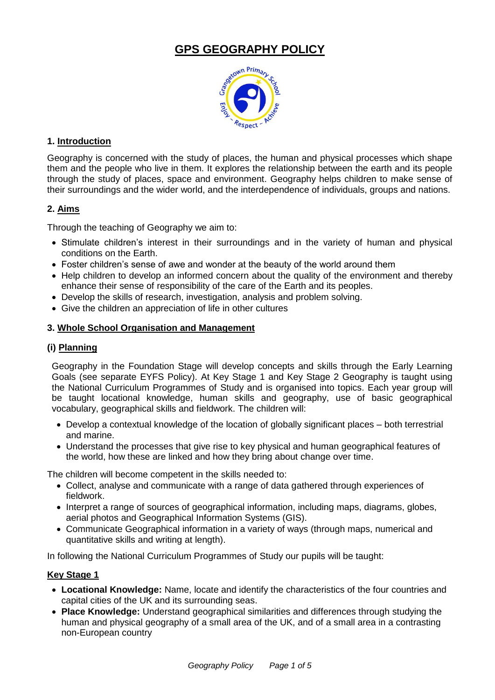# **GPS GEOGRAPHY POLICY**



## **1. Introduction**

Geography is concerned with the study of places, the human and physical processes which shape them and the people who live in them. It explores the relationship between the earth and its people through the study of places, space and environment. Geography helps children to make sense of their surroundings and the wider world, and the interdependence of individuals, groups and nations.

## **2. Aims**

Through the teaching of Geography we aim to:

- Stimulate children's interest in their surroundings and in the variety of human and physical conditions on the Earth.
- Foster children's sense of awe and wonder at the beauty of the world around them
- Help children to develop an informed concern about the quality of the environment and thereby enhance their sense of responsibility of the care of the Earth and its peoples.
- Develop the skills of research, investigation, analysis and problem solving.
- Give the children an appreciation of life in other cultures

## **3. Whole School Organisation and Management**

## **(i) Planning**

Geography in the Foundation Stage will develop concepts and skills through the Early Learning Goals (see separate EYFS Policy). At Key Stage 1 and Key Stage 2 Geography is taught using the National Curriculum Programmes of Study and is organised into topics. Each year group will be taught locational knowledge, human skills and geography, use of basic geographical vocabulary, geographical skills and fieldwork. The children will:

- Develop a contextual knowledge of the location of globally significant places both terrestrial and marine.
- Understand the processes that give rise to key physical and human geographical features of the world, how these are linked and how they bring about change over time.

The children will become competent in the skills needed to:

- Collect, analyse and communicate with a range of data gathered through experiences of fieldwork.
- Interpret a range of sources of geographical information, including maps, diagrams, globes, aerial photos and Geographical Information Systems (GIS).
- Communicate Geographical information in a variety of ways (through maps, numerical and quantitative skills and writing at length).

In following the National Curriculum Programmes of Study our pupils will be taught:

#### **Key Stage 1**

- **Locational Knowledge:** Name, locate and identify the characteristics of the four countries and capital cities of the UK and its surrounding seas.
- **Place Knowledge:** Understand geographical similarities and differences through studying the human and physical geography of a small area of the UK, and of a small area in a contrasting non-European country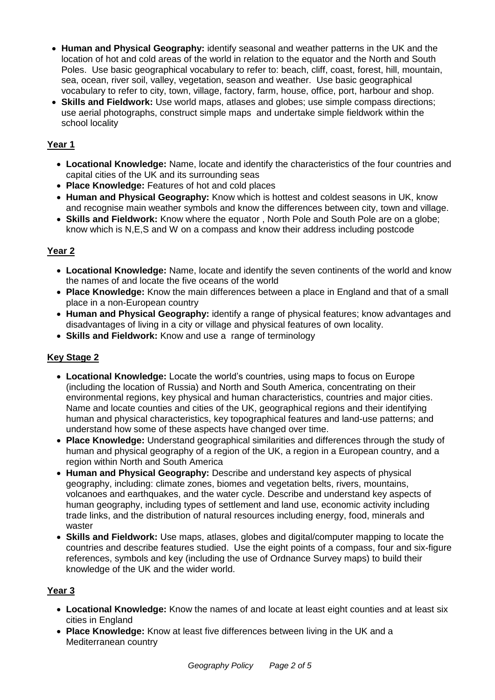- **Human and Physical Geography:** identify seasonal and weather patterns in the UK and the location of hot and cold areas of the world in relation to the equator and the North and South Poles. Use basic geographical vocabulary to refer to: beach, cliff, coast, forest, hill, mountain, sea, ocean, river soil, valley, vegetation, season and weather. Use basic geographical vocabulary to refer to city, town, village, factory, farm, house, office, port, harbour and shop.
- **Skills and Fieldwork:** Use world maps, atlases and globes; use simple compass directions; use aerial photographs, construct simple maps and undertake simple fieldwork within the school locality

## **Year 1**

- **Locational Knowledge:** Name, locate and identify the characteristics of the four countries and capital cities of the UK and its surrounding seas
- **Place Knowledge:** Features of hot and cold places
- **Human and Physical Geography:** Know which is hottest and coldest seasons in UK, know and recognise main weather symbols and know the differences between city, town and village.
- **Skills and Fieldwork:** Know where the equator , North Pole and South Pole are on a globe; know which is N,E,S and W on a compass and know their address including postcode

## **Year 2**

- **Locational Knowledge:** Name, locate and identify the seven continents of the world and know the names of and locate the five oceans of the world
- **Place Knowledge:** Know the main differences between a place in England and that of a small place in a non-European country
- **Human and Physical Geography:** identify a range of physical features; know advantages and disadvantages of living in a city or village and physical features of own locality.
- **Skills and Fieldwork:** Know and use a range of terminology

# **Key Stage 2**

- **Locational Knowledge:** Locate the world's countries, using maps to focus on Europe (including the location of Russia) and North and South America, concentrating on their environmental regions, key physical and human characteristics, countries and major cities. Name and locate counties and cities of the UK, geographical regions and their identifying human and physical characteristics, key topographical features and land-use patterns; and understand how some of these aspects have changed over time.
- **Place Knowledge:** Understand geographical similarities and differences through the study of human and physical geography of a region of the UK, a region in a European country, and a region within North and South America
- **Human and Physical Geography:** Describe and understand key aspects of physical geography, including: climate zones, biomes and vegetation belts, rivers, mountains, volcanoes and earthquakes, and the water cycle. Describe and understand key aspects of human geography, including types of settlement and land use, economic activity including trade links, and the distribution of natural resources including energy, food, minerals and waster
- **Skills and Fieldwork:** Use maps, atlases, globes and digital/computer mapping to locate the countries and describe features studied. Use the eight points of a compass, four and six-figure references, symbols and key (including the use of Ordnance Survey maps) to build their knowledge of the UK and the wider world.

## **Year 3**

- **Locational Knowledge:** Know the names of and locate at least eight counties and at least six cities in England
- **Place Knowledge:** Know at least five differences between living in the UK and a Mediterranean country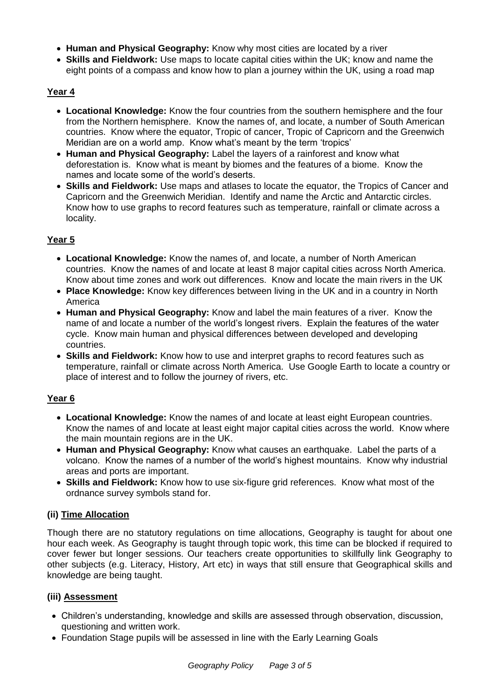- **Human and Physical Geography:** Know why most cities are located by a river
- **Skills and Fieldwork:** Use maps to locate capital cities within the UK; know and name the eight points of a compass and know how to plan a journey within the UK, using a road map

## **Year 4**

- **Locational Knowledge:** Know the four countries from the southern hemisphere and the four from the Northern hemisphere. Know the names of, and locate, a number of South American countries. Know where the equator, Tropic of cancer, Tropic of Capricorn and the Greenwich Meridian are on a world amp. Know what's meant by the term 'tropics'
- **Human and Physical Geography:** Label the layers of a rainforest and know what deforestation is. Know what is meant by biomes and the features of a biome. Know the names and locate some of the world's deserts.
- **Skills and Fieldwork:** Use maps and atlases to locate the equator, the Tropics of Cancer and Capricorn and the Greenwich Meridian. Identify and name the Arctic and Antarctic circles. Know how to use graphs to record features such as temperature, rainfall or climate across a locality.

## **Year 5**

- **Locational Knowledge:** Know the names of, and locate, a number of North American countries. Know the names of and locate at least 8 major capital cities across North America. Know about time zones and work out differences. Know and locate the main rivers in the UK
- **Place Knowledge:** Know key differences between living in the UK and in a country in North America
- **Human and Physical Geography:** Know and label the main features of a river. Know the name of and locate a number of the world's longest rivers. Explain the features of the water cycle. Know main human and physical differences between developed and developing countries.
- **Skills and Fieldwork:** Know how to use and interpret graphs to record features such as temperature, rainfall or climate across North America. Use Google Earth to locate a country or place of interest and to follow the journey of rivers, etc.

#### **Year 6**

- **Locational Knowledge:** Know the names of and locate at least eight European countries. Know the names of and locate at least eight major capital cities across the world. Know where the main mountain regions are in the UK.
- **Human and Physical Geography:** Know what causes an earthquake. Label the parts of a volcano. Know the names of a number of the world's highest mountains. Know why industrial areas and ports are important.
- **Skills and Fieldwork:** Know how to use six-figure grid references. Know what most of the ordnance survey symbols stand for.

## **(ii) Time Allocation**

Though there are no statutory regulations on time allocations, Geography is taught for about one hour each week. As Geography is taught through topic work, this time can be blocked if required to cover fewer but longer sessions. Our teachers create opportunities to skillfully link Geography to other subjects (e.g. Literacy, History, Art etc) in ways that still ensure that Geographical skills and knowledge are being taught.

## **(iii) Assessment**

- Children's understanding, knowledge and skills are assessed through observation, discussion, questioning and written work.
- Foundation Stage pupils will be assessed in line with the Early Learning Goals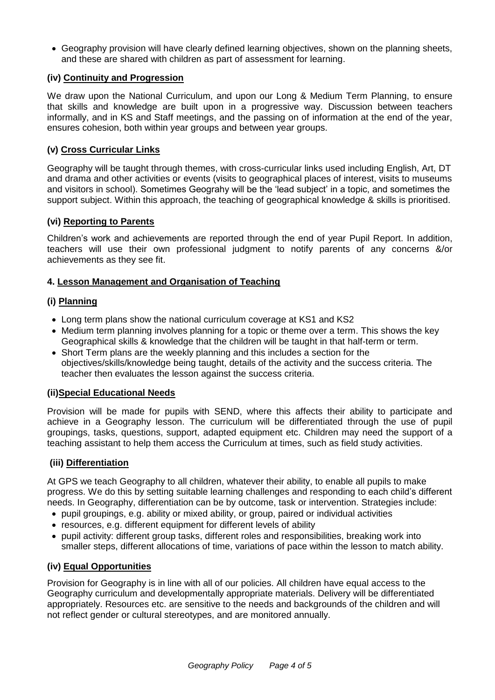Geography provision will have clearly defined learning objectives, shown on the planning sheets, and these are shared with children as part of assessment for learning.

#### **(iv) Continuity and Progression**

We draw upon the National Curriculum, and upon our Long & Medium Term Planning, to ensure that skills and knowledge are built upon in a progressive way. Discussion between teachers informally, and in KS and Staff meetings, and the passing on of information at the end of the year, ensures cohesion, both within year groups and between year groups.

## **(v) Cross Curricular Links**

Geography will be taught through themes, with cross-curricular links used including English, Art, DT and drama and other activities or events (visits to geographical places of interest, visits to museums and visitors in school). Sometimes Geograhy will be the 'lead subject' in a topic, and sometimes the support subject. Within this approach, the teaching of geographical knowledge & skills is prioritised.

## **(vi) Reporting to Parents**

Children's work and achievements are reported through the end of year Pupil Report. In addition, teachers will use their own professional judgment to notify parents of any concerns &/or achievements as they see fit.

#### **4. Lesson Management and Organisation of Teaching**

#### **(i) Planning**

- Long term plans show the national curriculum coverage at KS1 and KS2
- Medium term planning involves planning for a topic or theme over a term. This shows the key Geographical skills & knowledge that the children will be taught in that half-term or term.
- Short Term plans are the weekly planning and this includes a section for the objectives/skills/knowledge being taught, details of the activity and the success criteria. The teacher then evaluates the lesson against the success criteria.

#### **(ii)Special Educational Needs**

Provision will be made for pupils with SEND, where this affects their ability to participate and achieve in a Geography lesson. The curriculum will be differentiated through the use of pupil groupings, tasks, questions, support, adapted equipment etc. Children may need the support of a teaching assistant to help them access the Curriculum at times, such as field study activities.

## **(iii) Differentiation**

At GPS we teach Geography to all children, whatever their ability, to enable all pupils to make progress. We do this by setting suitable learning challenges and responding to each child's different needs. In Geography, differentiation can be by outcome, task or intervention. Strategies include:

- pupil groupings, e.g. ability or mixed ability, or group, paired or individual activities
- resources, e.g. different equipment for different levels of ability
- pupil activity: different group tasks, different roles and responsibilities, breaking work into smaller steps, different allocations of time, variations of pace within the lesson to match ability.

#### **(iv) Equal Opportunities**

Provision for Geography is in line with all of our policies. All children have equal access to the Geography curriculum and developmentally appropriate materials. Delivery will be differentiated appropriately. Resources etc. are sensitive to the needs and backgrounds of the children and will not reflect gender or cultural stereotypes, and are monitored annually.